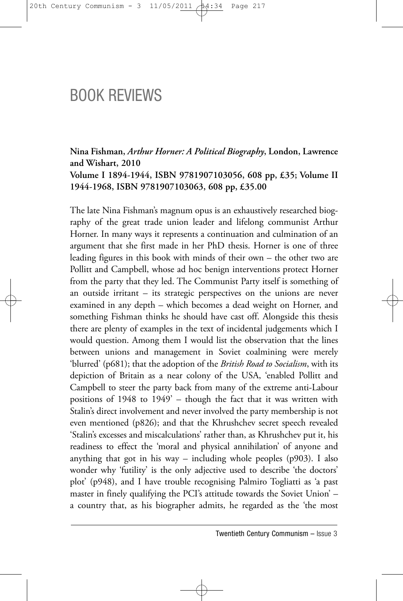# BOOK REVIEWS

**Nina Fishman,** *Arthur Horner: A Political Biography***, London, Lawrence and Wishart, 2010 Volume I 1894-1944, ISBN 9781907103056, 608 pp, £35; Volume II 1944-1968, ISBN 9781907103063, 608 pp, £35.00**

The late Nina Fishman's magnum opus is an exhaustively researched biography of the great trade union leader and lifelong communist Arthur Horner. In many ways it represents a continuation and culmination of an argument that she first made in her PhD thesis. Horner is one of three leading figures in this book with minds of their own – the other two are Pollitt and Campbell, whose ad hoc benign interventions protect Horner from the party that they led. The Communist Party itself is something of an outside irritant – its strategic perspectives on the unions are never examined in any depth – which becomes a dead weight on Horner, and something Fishman thinks he should have cast off. Alongside this thesis there are plenty of examples in the text of incidental judgements which I would question. Among them I would list the observation that the lines between unions and management in Soviet coalmining were merely 'blurred' (p681); that the adoption of the *British Road to Socialism*, with its depiction of Britain as a near colony of the USA, 'enabled Pollitt and Campbell to steer the party back from many of the extreme anti-Labour positions of 1948 to 1949' – though the fact that it was written with Stalin's direct involvement and never involved the party membership is not even mentioned (p826); and that the Khrushchev secret speech revealed 'Stalin's excesses and miscalculations' rather than, as Khrushchev put it, his readiness to effect the 'moral and physical annihilation' of anyone and anything that got in his way – including whole peoples (p903). I also wonder why 'futility' is the only adjective used to describe 'the doctors' plot' (p948), and I have trouble recognising Palmiro Togliatti as 'a past master in finely qualifying the PCI's attitude towards the Soviet Union' – a country that, as his biographer admits, he regarded as the 'the most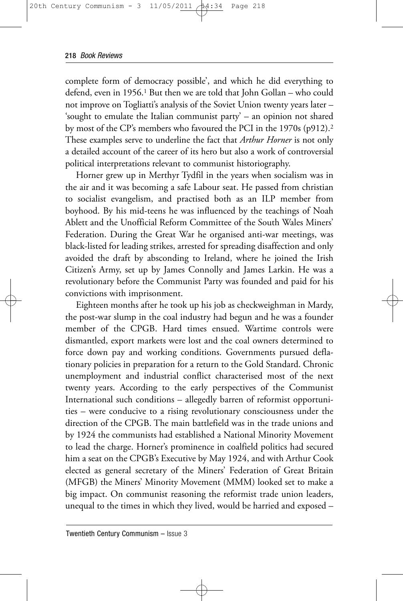complete form of democracy possible', and which he did everything to defend, even in 1956.<sup>1</sup> But then we are told that John Gollan – who could not improve on Togliatti's analysis of the Soviet Union twenty years later – 'sought to emulate the Italian communist party' – an opinion not shared by most of the CP's members who favoured the PCI in the 1970s (p912).2 These examples serve to underline the fact that *Arthur Horner* is not only a detailed account of the career of its hero but also a work of controversial political interpretations relevant to communist historiography.

Horner grew up in Merthyr Tydfil in the years when socialism was in the air and it was becoming a safe Labour seat. He passed from christian to socialist evangelism, and practised both as an ILP member from boyhood. By his mid-teens he was influenced by the teachings of Noah Ablett and the Unofficial Reform Committee of the South Wales Miners' Federation. During the Great War he organised anti-war meetings, was black-listed for leading strikes, arrested for spreading disaffection and only avoided the draft by absconding to Ireland, where he joined the Irish Citizen's Army, set up by James Connolly and James Larkin. He was a revolutionary before the Communist Party was founded and paid for his convictions with imprisonment.

Eighteen months after he took up his job as checkweighman in Mardy, the post-war slump in the coal industry had begun and he was a founder member of the CPGB. Hard times ensued. Wartime controls were dismantled, export markets were lost and the coal owners determined to force down pay and working conditions. Governments pursued deflationary policies in preparation for a return to the Gold Standard. Chronic unemployment and industrial conflict characterised most of the next twenty years. According to the early perspectives of the Communist International such conditions – allegedly barren of reformist opportunities – were conducive to a rising revolutionary consciousness under the direction of the CPGB. The main battlefield was in the trade unions and by 1924 the communists had established a National Minority Movement to lead the charge. Horner's prominence in coalfield politics had secured him a seat on the CPGB's Executive by May 1924, and with Arthur Cook elected as general secretary of the Miners' Federation of Great Britain (MFGB) the Miners' Minority Movement (MMM) looked set to make a big impact. On communist reasoning the reformist trade union leaders, unequal to the times in which they lived, would be harried and exposed –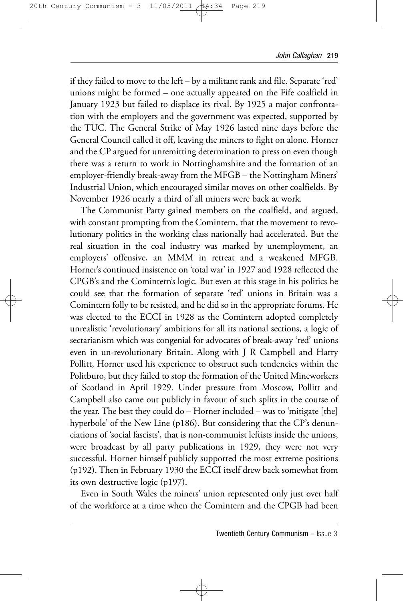if they failed to move to the left – by a militant rank and file. Separate 'red' unions might be formed – one actually appeared on the Fife coalfield in January 1923 but failed to displace its rival. By 1925 a major confrontation with the employers and the government was expected, supported by the TUC. The General Strike of May 1926 lasted nine days before the General Council called it off, leaving the miners to fight on alone. Horner and the CP argued for unremitting determination to press on even though there was a return to work in Nottinghamshire and the formation of an employer-friendly break-away from the MFGB – the Nottingham Miners' Industrial Union, which encouraged similar moves on other coalfields. By November 1926 nearly a third of all miners were back at work.

The Communist Party gained members on the coalfield, and argued, with constant prompting from the Comintern, that the movement to revolutionary politics in the working class nationally had accelerated. But the real situation in the coal industry was marked by unemployment, an employers' offensive, an MMM in retreat and a weakened MFGB. Horner's continued insistence on 'total war' in 1927 and 1928 reflected the CPGB's and the Comintern's logic. But even at this stage in his politics he could see that the formation of separate 'red' unions in Britain was a Comintern folly to be resisted, and he did so in the appropriate forums. He was elected to the ECCI in 1928 as the Comintern adopted completely unrealistic 'revolutionary' ambitions for all its national sections, a logic of sectarianism which was congenial for advocates of break-away 'red' unions even in un-revolutionary Britain. Along with J R Campbell and Harry Pollitt, Horner used his experience to obstruct such tendencies within the Politburo, but they failed to stop the formation of the United Mineworkers of Scotland in April 1929. Under pressure from Moscow, Pollitt and Campbell also came out publicly in favour of such splits in the course of the year. The best they could do – Horner included – was to 'mitigate [the] hyperbole' of the New Line (p186). But considering that the CP's denunciations of 'social fascists', that is non-communist leftists inside the unions, were broadcast by all party publications in 1929, they were not very successful. Horner himself publicly supported the most extreme positions (p192). Then in February 1930 the ECCI itself drew back somewhat from its own destructive logic (p197).

Even in South Wales the miners' union represented only just over half of the workforce at a time when the Comintern and the CPGB had been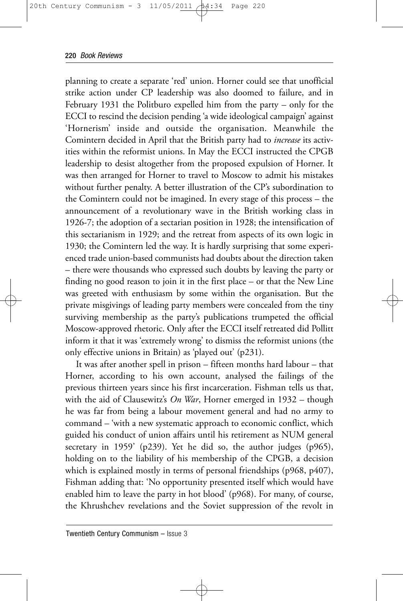planning to create a separate 'red' union. Horner could see that unofficial strike action under CP leadership was also doomed to failure, and in February 1931 the Politburo expelled him from the party – only for the ECCI to rescind the decision pending 'a wide ideological campaign' against 'Hornerism' inside and outside the organisation. Meanwhile the Comintern decided in April that the British party had to *increase* its activities within the reformist unions. In May the ECCI instructed the CPGB leadership to desist altogether from the proposed expulsion of Horner. It was then arranged for Horner to travel to Moscow to admit his mistakes without further penalty. A better illustration of the CP's subordination to the Comintern could not be imagined. In every stage of this process – the announcement of a revolutionary wave in the British working class in 1926-7; the adoption of a sectarian position in 1928; the intensification of this sectarianism in 1929; and the retreat from aspects of its own logic in 1930; the Comintern led the way. It is hardly surprising that some experienced trade union-based communists had doubts about the direction taken – there were thousands who expressed such doubts by leaving the party or finding no good reason to join it in the first place – or that the New Line was greeted with enthusiasm by some within the organisation. But the private misgivings of leading party members were concealed from the tiny surviving membership as the party's publications trumpeted the official Moscow-approved rhetoric. Only after the ECCI itself retreated did Pollitt inform it that it was 'extremely wrong' to dismiss the reformist unions (the only effective unions in Britain) as 'played out' (p231).

It was after another spell in prison – fifteen months hard labour – that Horner, according to his own account, analysed the failings of the previous thirteen years since his first incarceration. Fishman tells us that, with the aid of Clausewitz's *On War*, Horner emerged in 1932 – though he was far from being a labour movement general and had no army to command – 'with a new systematic approach to economic conflict, which guided his conduct of union affairs until his retirement as NUM general secretary in 1959' (p239). Yet he did so, the author judges (p965), holding on to the liability of his membership of the CPGB, a decision which is explained mostly in terms of personal friendships (p968, p407), Fishman adding that: 'No opportunity presented itself which would have enabled him to leave the party in hot blood' (p968). For many, of course, the Khrushchev revelations and the Soviet suppression of the revolt in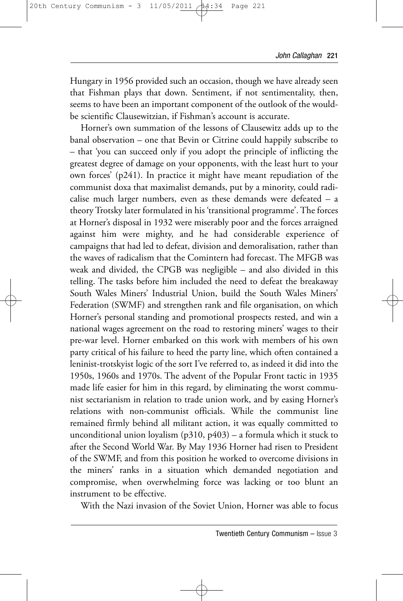Hungary in 1956 provided such an occasion, though we have already seen that Fishman plays that down. Sentiment, if not sentimentality, then, seems to have been an important component of the outlook of the wouldbe scientific Clausewitzian, if Fishman's account is accurate.

Horner's own summation of the lessons of Clausewitz adds up to the banal observation – one that Bevin or Citrine could happily subscribe to – that 'you can succeed only if you adopt the principle of inflicting the greatest degree of damage on your opponents, with the least hurt to your own forces' (p241). In practice it might have meant repudiation of the communist doxa that maximalist demands, put by a minority, could radicalise much larger numbers, even as these demands were defeated – a theory Trotsky later formulated in his 'transitional programme'. The forces at Horner's disposal in 1932 were miserably poor and the forces arraigned against him were mighty, and he had considerable experience of campaigns that had led to defeat, division and demoralisation, rather than the waves of radicalism that the Comintern had forecast. The MFGB was weak and divided, the CPGB was negligible – and also divided in this telling. The tasks before him included the need to defeat the breakaway South Wales Miners' Industrial Union, build the South Wales Miners' Federation (SWMF) and strengthen rank and file organisation, on which Horner's personal standing and promotional prospects rested, and win a national wages agreement on the road to restoring miners' wages to their pre-war level. Horner embarked on this work with members of his own party critical of his failure to heed the party line, which often contained a leninist-trotskyist logic of the sort I've referred to, as indeed it did into the 1950s, 1960s and 1970s. The advent of the Popular Front tactic in 1935 made life easier for him in this regard, by eliminating the worst communist sectarianism in relation to trade union work, and by easing Horner's relations with non-communist officials. While the communist line remained firmly behind all militant action, it was equally committed to unconditional union loyalism ( $p310$ ,  $p403$ ) – a formula which it stuck to after the Second World War. By May 1936 Horner had risen to President of the SWMF, and from this position he worked to overcome divisions in the miners' ranks in a situation which demanded negotiation and compromise, when overwhelming force was lacking or too blunt an instrument to be effective.

With the Nazi invasion of the Soviet Union, Horner was able to focus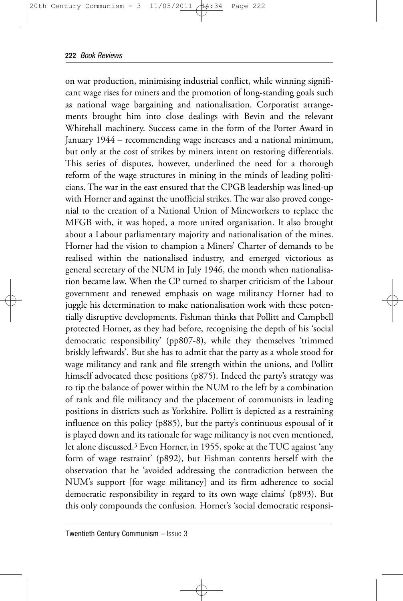on war production, minimising industrial conflict, while winning significant wage rises for miners and the promotion of long-standing goals such as national wage bargaining and nationalisation. Corporatist arrangements brought him into close dealings with Bevin and the relevant Whitehall machinery. Success came in the form of the Porter Award in January 1944 – recommending wage increases and a national minimum, but only at the cost of strikes by miners intent on restoring differentials. This series of disputes, however, underlined the need for a thorough reform of the wage structures in mining in the minds of leading politicians. The war in the east ensured that the CPGB leadership was lined-up with Horner and against the unofficial strikes. The war also proved congenial to the creation of a National Union of Mineworkers to replace the MFGB with, it was hoped, a more united organisation. It also brought about a Labour parliamentary majority and nationalisation of the mines. Horner had the vision to champion a Miners' Charter of demands to be realised within the nationalised industry, and emerged victorious as general secretary of the NUM in July 1946, the month when nationalisation became law. When the CP turned to sharper criticism of the Labour government and renewed emphasis on wage militancy Horner had to juggle his determination to make nationalisation work with these potentially disruptive developments. Fishman thinks that Pollitt and Campbell protected Horner, as they had before, recognising the depth of his 'social democratic responsibility' (pp807-8), while they themselves 'trimmed briskly leftwards'. But she has to admit that the party as a whole stood for wage militancy and rank and file strength within the unions, and Pollitt himself advocated these positions (p875). Indeed the party's strategy was to tip the balance of power within the NUM to the left by a combination of rank and file militancy and the placement of communists in leading positions in districts such as Yorkshire. Pollitt is depicted as a restraining influence on this policy (p885), but the party's continuous espousal of it is played down and its rationale for wage militancy is not even mentioned, let alone discussed.3 Even Horner, in 1955, spoke at the TUC against 'any form of wage restraint' (p892), but Fishman contents herself with the observation that he 'avoided addressing the contradiction between the NUM's support [for wage militancy] and its firm adherence to social democratic responsibility in regard to its own wage claims' (p893). But this only compounds the confusion. Horner's 'social democratic responsi-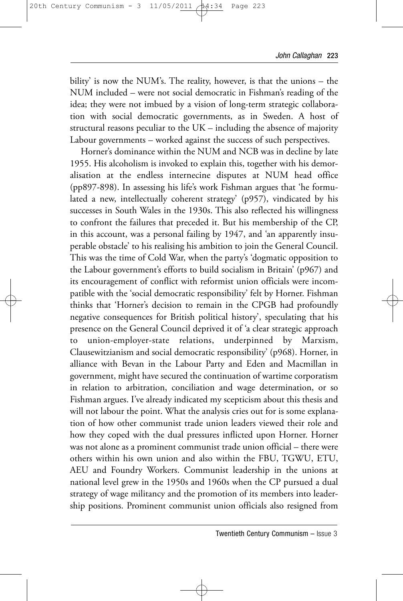bility' is now the NUM's. The reality, however, is that the unions – the NUM included – were not social democratic in Fishman's reading of the idea; they were not imbued by a vision of long-term strategic collaboration with social democratic governments, as in Sweden. A host of structural reasons peculiar to the UK – including the absence of majority Labour governments – worked against the success of such perspectives.

Horner's dominance within the NUM and NCB was in decline by late 1955. His alcoholism is invoked to explain this, together with his demoralisation at the endless internecine disputes at NUM head office (pp897-898). In assessing his life's work Fishman argues that 'he formulated a new, intellectually coherent strategy' (p957), vindicated by his successes in South Wales in the 1930s. This also reflected his willingness to confront the failures that preceded it. But his membership of the CP, in this account, was a personal failing by 1947, and 'an apparently insuperable obstacle' to his realising his ambition to join the General Council. This was the time of Cold War, when the party's 'dogmatic opposition to the Labour government's efforts to build socialism in Britain' (p967) and its encouragement of conflict with reformist union officials were incompatible with the 'social democratic responsibility' felt by Horner. Fishman thinks that 'Horner's decision to remain in the CPGB had profoundly negative consequences for British political history', speculating that his presence on the General Council deprived it of 'a clear strategic approach to union-employer-state relations, underpinned by Marxism, Clausewitzianism and social democratic responsibility' (p968). Horner, in alliance with Bevan in the Labour Party and Eden and Macmillan in government, might have secured the continuation of wartime corporatism in relation to arbitration, conciliation and wage determination, or so Fishman argues. I've already indicated my scepticism about this thesis and will not labour the point. What the analysis cries out for is some explanation of how other communist trade union leaders viewed their role and how they coped with the dual pressures inflicted upon Horner. Horner was not alone as a prominent communist trade union official – there were others within his own union and also within the FBU, TGWU, ETU, AEU and Foundry Workers. Communist leadership in the unions at national level grew in the 1950s and 1960s when the CP pursued a dual strategy of wage militancy and the promotion of its members into leadership positions. Prominent communist union officials also resigned from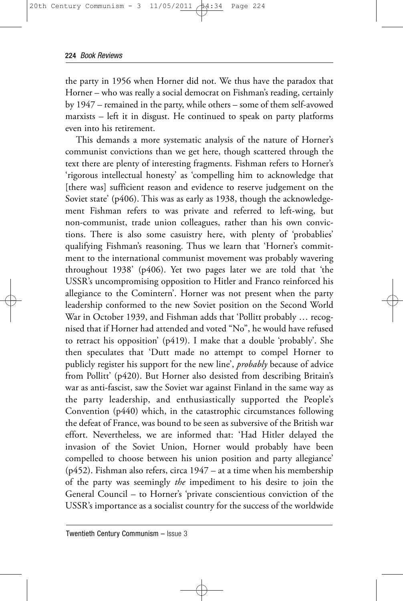the party in 1956 when Horner did not. We thus have the paradox that Horner – who was really a social democrat on Fishman's reading, certainly by 1947 – remained in the party, while others – some of them self-avowed marxists – left it in disgust. He continued to speak on party platforms even into his retirement.

This demands a more systematic analysis of the nature of Horner's communist convictions than we get here, though scattered through the text there are plenty of interesting fragments. Fishman refers to Horner's 'rigorous intellectual honesty' as 'compelling him to acknowledge that [there was] sufficient reason and evidence to reserve judgement on the Soviet state' (p406). This was as early as 1938, though the acknowledgement Fishman refers to was private and referred to left-wing, but non-communist, trade union colleagues, rather than his own convictions. There is also some casuistry here, with plenty of 'probablies' qualifying Fishman's reasoning. Thus we learn that 'Horner's commitment to the international communist movement was probably wavering throughout 1938' (p406). Yet two pages later we are told that 'the USSR's uncompromising opposition to Hitler and Franco reinforced his allegiance to the Comintern'. Horner was not present when the party leadership conformed to the new Soviet position on the Second World War in October 1939, and Fishman adds that 'Pollitt probably … recognised that if Horner had attended and voted "No", he would have refused to retract his opposition' (p419). I make that a double 'probably'. She then speculates that 'Dutt made no attempt to compel Horner to publicly register his support for the new line', *probably* because of advice from Pollitt' (p420). But Horner also desisted from describing Britain's war as anti-fascist, saw the Soviet war against Finland in the same way as the party leadership, and enthusiastically supported the People's Convention (p440) which, in the catastrophic circumstances following the defeat of France, was bound to be seen as subversive of the British war effort. Nevertheless, we are informed that: 'Had Hitler delayed the invasion of the Soviet Union, Horner would probably have been compelled to choose between his union position and party allegiance' (p452). Fishman also refers, circa 1947 – at a time when his membership of the party was seemingly *the* impediment to his desire to join the General Council – to Horner's 'private conscientious conviction of the USSR's importance as a socialist country for the success of the worldwide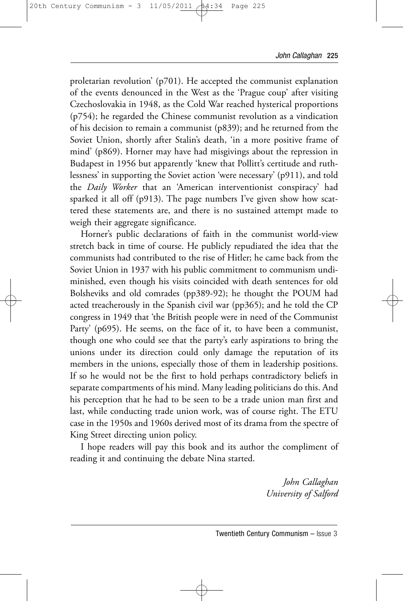proletarian revolution' (p701). He accepted the communist explanation of the events denounced in the West as the 'Prague coup' after visiting Czechoslovakia in 1948, as the Cold War reached hysterical proportions (p754); he regarded the Chinese communist revolution as a vindication of his decision to remain a communist (p839); and he returned from the Soviet Union, shortly after Stalin's death, 'in a more positive frame of mind' (p869). Horner may have had misgivings about the repression in Budapest in 1956 but apparently 'knew that Pollitt's certitude and ruthlessness' in supporting the Soviet action 'were necessary' (p911), and told the *Daily Worker* that an 'American interventionist conspiracy' had sparked it all off (p913). The page numbers I've given show how scattered these statements are, and there is no sustained attempt made to weigh their aggregate significance.

Horner's public declarations of faith in the communist world-view stretch back in time of course. He publicly repudiated the idea that the communists had contributed to the rise of Hitler; he came back from the Soviet Union in 1937 with his public commitment to communism undiminished, even though his visits coincided with death sentences for old Bolsheviks and old comrades (pp389-92); he thought the POUM had acted treacherously in the Spanish civil war (pp365); and he told the CP congress in 1949 that 'the British people were in need of the Communist Party' (p695). He seems, on the face of it, to have been a communist, though one who could see that the party's early aspirations to bring the unions under its direction could only damage the reputation of its members in the unions, especially those of them in leadership positions. If so he would not be the first to hold perhaps contradictory beliefs in separate compartments of his mind. Many leading politicians do this. And his perception that he had to be seen to be a trade union man first and last, while conducting trade union work, was of course right. The ETU case in the 1950s and 1960s derived most of its drama from the spectre of King Street directing union policy.

I hope readers will pay this book and its author the compliment of reading it and continuing the debate Nina started.

> *John Callaghan University of Salford*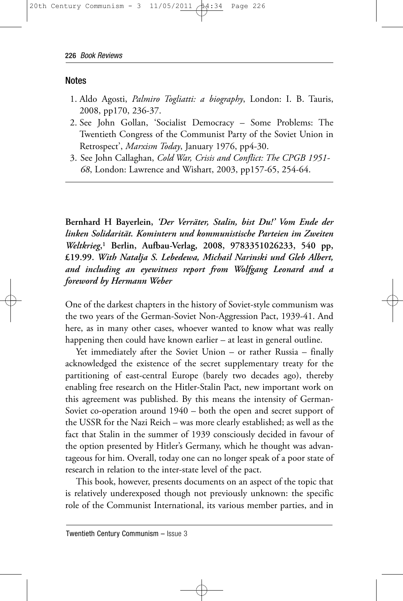#### Notes

- 1. Aldo Agosti, *Palmiro Togliatti: a biography*, London: I. B. Tauris, 2008, pp170, 236-37.
- 2. See John Gollan, 'Socialist Democracy Some Problems: The Twentieth Congress of the Communist Party of the Soviet Union in Retrospect', *Marxism Today*, January 1976, pp4-30.
- 3. See John Callaghan, *Cold War, Crisis and Conflict: The CPGB 1951- 68*, London: Lawrence and Wishart, 2003, pp157-65, 254-64.

**Bernhard H Bayerlein,** *'Der Verräter, Stalin, bist Du!' Vom Ende der linken Solidarität. Komintern und kommunistische Parteien im Zweiten Weltkrieg***,1 Berlin, Aufbau-Verlag, 2008, 9783351026233, 540 pp, £19.99.** *With Natalja S. Lebedewa, Michail Narinski und Gleb Albert, and including an eyewitness report from Wolfgang Leonard and a foreword by Hermann Weber*

One of the darkest chapters in the history of Soviet-style communism was the two years of the German-Soviet Non-Aggression Pact, 1939-41. And here, as in many other cases, whoever wanted to know what was really happening then could have known earlier – at least in general outline.

Yet immediately after the Soviet Union – or rather Russia – finally acknowledged the existence of the secret supplementary treaty for the partitioning of east-central Europe (barely two decades ago), thereby enabling free research on the Hitler-Stalin Pact, new important work on this agreement was published. By this means the intensity of German-Soviet co-operation around 1940 – both the open and secret support of the USSR for the Nazi Reich – was more clearly established; as well as the fact that Stalin in the summer of 1939 consciously decided in favour of the option presented by Hitler's Germany, which he thought was advantageous for him. Overall, today one can no longer speak of a poor state of research in relation to the inter-state level of the pact.

This book, however, presents documents on an aspect of the topic that is relatively underexposed though not previously unknown: the specific role of the Communist International, its various member parties, and in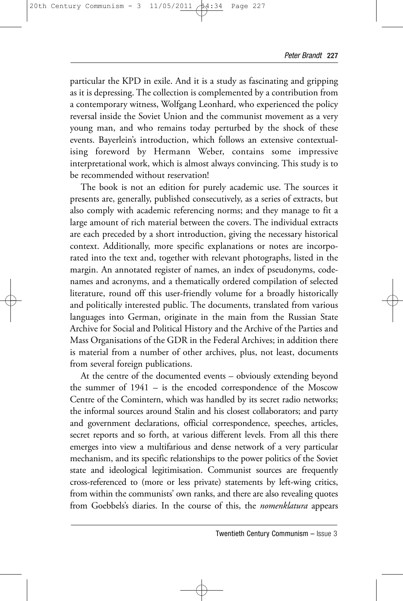particular the KPD in exile. And it is a study as fascinating and gripping as it is depressing. The collection is complemented by a contribution from a contemporary witness, Wolfgang Leonhard, who experienced the policy reversal inside the Soviet Union and the communist movement as a very young man, and who remains today perturbed by the shock of these events. Bayerlein's introduction, which follows an extensive contextualising foreword by Hermann Weber, contains some impressive interpretational work, which is almost always convincing. This study is to be recommended without reservation!

The book is not an edition for purely academic use. The sources it presents are, generally, published consecutively, as a series of extracts, but also comply with academic referencing norms; and they manage to fit a large amount of rich material between the covers. The individual extracts are each preceded by a short introduction, giving the necessary historical context. Additionally, more specific explanations or notes are incorporated into the text and, together with relevant photographs, listed in the margin. An annotated register of names, an index of pseudonyms, codenames and acronyms, and a thematically ordered compilation of selected literature, round off this user-friendly volume for a broadly historically and politically interested public. The documents, translated from various languages into German, originate in the main from the Russian State Archive for Social and Political History and the Archive of the Parties and Mass Organisations of the GDR in the Federal Archives; in addition there is material from a number of other archives, plus, not least, documents from several foreign publications.

At the centre of the documented events – obviously extending beyond the summer of 1941 – is the encoded correspondence of the Moscow Centre of the Comintern, which was handled by its secret radio networks; the informal sources around Stalin and his closest collaborators; and party and government declarations, official correspondence, speeches, articles, secret reports and so forth, at various different levels. From all this there emerges into view a multifarious and dense network of a very particular mechanism, and its specific relationships to the power politics of the Soviet state and ideological legitimisation. Communist sources are frequently cross-referenced to (more or less private) statements by left-wing critics, from within the communists' own ranks, and there are also revealing quotes from Goebbels's diaries. In the course of this, the *nomenklatura* appears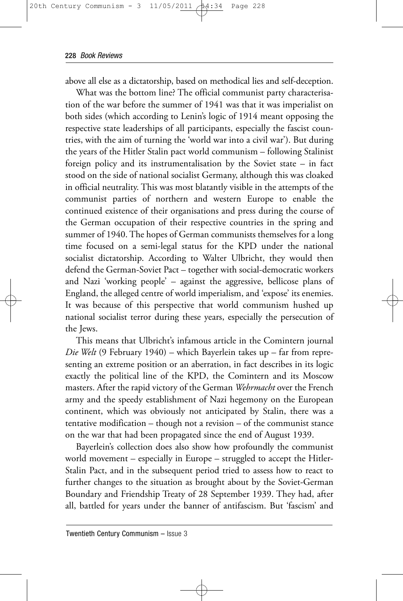above all else as a dictatorship, based on methodical lies and self-deception.

What was the bottom line? The official communist party characterisation of the war before the summer of 1941 was that it was imperialist on both sides (which according to Lenin's logic of 1914 meant opposing the respective state leaderships of all participants, especially the fascist countries, with the aim of turning the 'world war into a civil war'). But during the years of the Hitler Stalin pact world communism – following Stalinist foreign policy and its instrumentalisation by the Soviet state – in fact stood on the side of national socialist Germany, although this was cloaked in official neutrality. This was most blatantly visible in the attempts of the communist parties of northern and western Europe to enable the continued existence of their organisations and press during the course of the German occupation of their respective countries in the spring and summer of 1940. The hopes of German communists themselves for a long time focused on a semi-legal status for the KPD under the national socialist dictatorship. According to Walter Ulbricht, they would then defend the German-Soviet Pact – together with social-democratic workers and Nazi 'working people' – against the aggressive, bellicose plans of England, the alleged centre of world imperialism, and 'expose' its enemies. It was because of this perspective that world communism hushed up national socialist terror during these years, especially the persecution of the Jews.

This means that Ulbricht's infamous article in the Comintern journal *Die Welt* (9 February 1940) – which Bayerlein takes up – far from representing an extreme position or an aberration, in fact describes in its logic exactly the political line of the KPD, the Comintern and its Moscow masters. After the rapid victory of the German *Wehrmacht* over the French army and the speedy establishment of Nazi hegemony on the European continent, which was obviously not anticipated by Stalin, there was a tentative modification – though not a revision – of the communist stance on the war that had been propagated since the end of August 1939.

Bayerlein's collection does also show how profoundly the communist world movement – especially in Europe – struggled to accept the Hitler-Stalin Pact, and in the subsequent period tried to assess how to react to further changes to the situation as brought about by the Soviet-German Boundary and Friendship Treaty of 28 September 1939. They had, after all, battled for years under the banner of antifascism. But 'fascism' and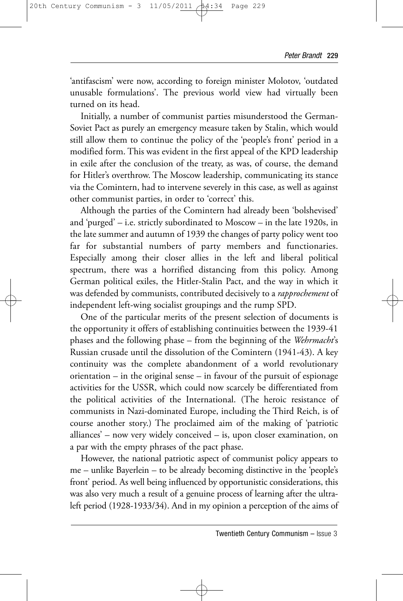'antifascism' were now, according to foreign minister Molotov, 'outdated unusable formulations'. The previous world view had virtually been turned on its head.

Initially, a number of communist parties misunderstood the German-Soviet Pact as purely an emergency measure taken by Stalin, which would still allow them to continue the policy of the 'people's front' period in a modified form. This was evident in the first appeal of the KPD leadership in exile after the conclusion of the treaty, as was, of course, the demand for Hitler's overthrow. The Moscow leadership, communicating its stance via the Comintern, had to intervene severely in this case, as well as against other communist parties, in order to 'correct' this.

Although the parties of the Comintern had already been 'bolshevised' and 'purged' – i.e. strictly subordinated to Moscow – in the late 1920s, in the late summer and autumn of 1939 the changes of party policy went too far for substantial numbers of party members and functionaries. Especially among their closer allies in the left and liberal political spectrum, there was a horrified distancing from this policy. Among German political exiles, the Hitler-Stalin Pact, and the way in which it was defended by communists, contributed decisively to a *rapprochement* of independent left-wing socialist groupings and the rump SPD.

One of the particular merits of the present selection of documents is the opportunity it offers of establishing continuities between the 1939-41 phases and the following phase – from the beginning of the *Wehrmacht*'s Russian crusade until the dissolution of the Comintern (1941-43). A key continuity was the complete abandonment of a world revolutionary orientation – in the original sense – in favour of the pursuit of espionage activities for the USSR, which could now scarcely be differentiated from the political activities of the International. (The heroic resistance of communists in Nazi-dominated Europe, including the Third Reich, is of course another story.) The proclaimed aim of the making of 'patriotic alliances' – now very widely conceived – is, upon closer examination, on a par with the empty phrases of the pact phase.

However, the national patriotic aspect of communist policy appears to me – unlike Bayerlein – to be already becoming distinctive in the 'people's front' period. As well being influenced by opportunistic considerations, this was also very much a result of a genuine process of learning after the ultraleft period (1928-1933/34). And in my opinion a perception of the aims of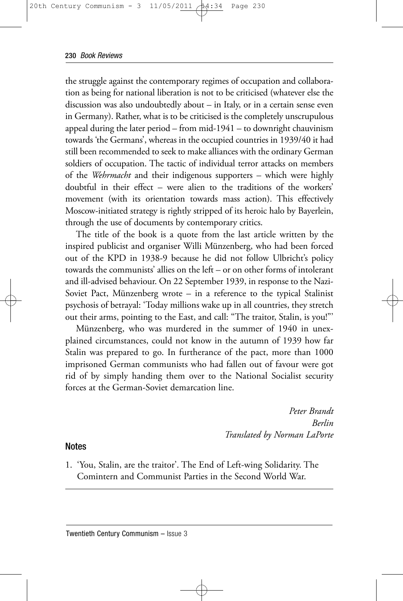the struggle against the contemporary regimes of occupation and collaboration as being for national liberation is not to be criticised (whatever else the discussion was also undoubtedly about – in Italy, or in a certain sense even in Germany). Rather, what is to be criticised is the completely unscrupulous appeal during the later period – from mid-1941 – to downright chauvinism towards 'the Germans', whereas in the occupied countries in 1939/40 it had still been recommended to seek to make alliances with the ordinary German soldiers of occupation. The tactic of individual terror attacks on members of the *Wehrmacht* and their indigenous supporters – which were highly doubtful in their effect – were alien to the traditions of the workers' movement (with its orientation towards mass action). This effectively Moscow-initiated strategy is rightly stripped of its heroic halo by Bayerlein, through the use of documents by contemporary critics.

The title of the book is a quote from the last article written by the inspired publicist and organiser Willi Münzenberg, who had been forced out of the KPD in 1938-9 because he did not follow Ulbricht's policy towards the communists' allies on the left – or on other forms of intolerant and ill-advised behaviour. On 22 September 1939, in response to the Nazi-Soviet Pact, Münzenberg wrote – in a reference to the typical Stalinist psychosis of betrayal: 'Today millions wake up in all countries, they stretch out their arms, pointing to the East, and call: "The traitor, Stalin, is you!"'

Münzenberg, who was murdered in the summer of 1940 in unexplained circumstances, could not know in the autumn of 1939 how far Stalin was prepared to go. In furtherance of the pact, more than 1000 imprisoned German communists who had fallen out of favour were got rid of by simply handing them over to the National Socialist security forces at the German-Soviet demarcation line.

> *Peter Brandt Berlin Translated by Norman LaPorte*

#### Notes

1. 'You, Stalin, are the traitor'. The End of Left-wing Solidarity. The Comintern and Communist Parties in the Second World War.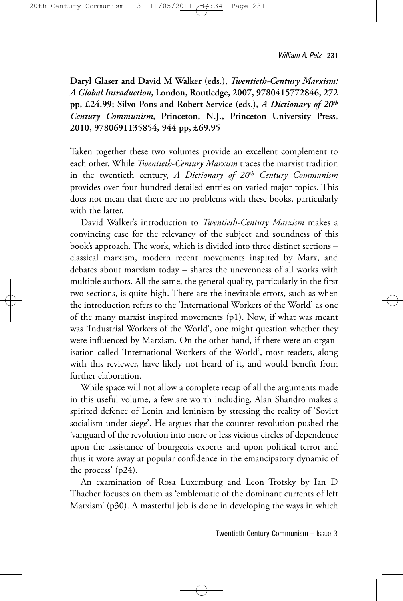**Daryl Glaser and David M Walker (eds.),** *Twentieth-Century Marxism: A Global Introduction***, London, Routledge, 2007, 9780415772846, 272 pp, £24.99; Silvo Pons and Robert Service (eds.),** *A Dictionary of 20th Century Communism***, Princeton, N.J., Princeton University Press, 2010, 9780691135854, 944 pp, £69.95**

Taken together these two volumes provide an excellent complement to each other. While *Twentieth-Century Marxism* traces the marxist tradition in the twentieth century, *A Dictionary of 20th Century Communism* provides over four hundred detailed entries on varied major topics. This does not mean that there are no problems with these books, particularly with the latter.

David Walker's introduction to *Twentieth-Century Marxism* makes a convincing case for the relevancy of the subject and soundness of this book's approach. The work, which is divided into three distinct sections – classical marxism, modern recent movements inspired by Marx, and debates about marxism today – shares the unevenness of all works with multiple authors. All the same, the general quality, particularly in the first two sections, is quite high. There are the inevitable errors, such as when the introduction refers to the 'International Workers of the World' as one of the many marxist inspired movements (p1). Now, if what was meant was 'Industrial Workers of the World', one might question whether they were influenced by Marxism. On the other hand, if there were an organisation called 'International Workers of the World', most readers, along with this reviewer, have likely not heard of it, and would benefit from further elaboration.

While space will not allow a complete recap of all the arguments made in this useful volume, a few are worth including. Alan Shandro makes a spirited defence of Lenin and leninism by stressing the reality of 'Soviet socialism under siege'. He argues that the counter-revolution pushed the 'vanguard of the revolution into more or less vicious circles of dependence upon the assistance of bourgeois experts and upon political terror and thus it wore away at popular confidence in the emancipatory dynamic of the process' (p24).

An examination of Rosa Luxemburg and Leon Trotsky by Ian D Thacher focuses on them as 'emblematic of the dominant currents of left Marxism' (p30). A masterful job is done in developing the ways in which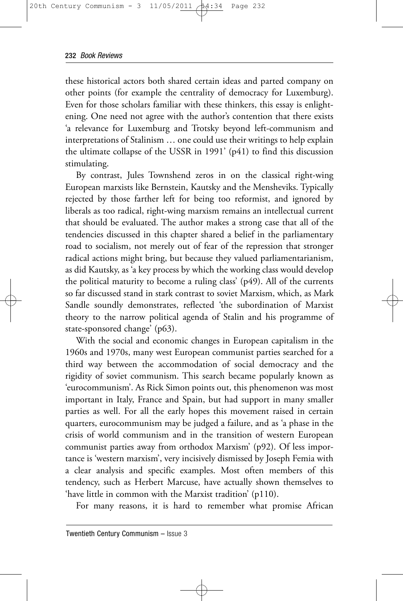these historical actors both shared certain ideas and parted company on other points (for example the centrality of democracy for Luxemburg). Even for those scholars familiar with these thinkers, this essay is enlightening. One need not agree with the author's contention that there exists 'a relevance for Luxemburg and Trotsky beyond left-communism and interpretations of Stalinism … one could use their writings to help explain the ultimate collapse of the USSR in 1991' (p41) to find this discussion stimulating.

By contrast, Jules Townshend zeros in on the classical right-wing European marxists like Bernstein, Kautsky and the Mensheviks. Typically rejected by those farther left for being too reformist, and ignored by liberals as too radical, right-wing marxism remains an intellectual current that should be evaluated. The author makes a strong case that all of the tendencies discussed in this chapter shared a belief in the parliamentary road to socialism, not merely out of fear of the repression that stronger radical actions might bring, but because they valued parliamentarianism, as did Kautsky, as 'a key process by which the working class would develop the political maturity to become a ruling class' (p49). All of the currents so far discussed stand in stark contrast to soviet Marxism, which, as Mark Sandle soundly demonstrates, reflected 'the subordination of Marxist theory to the narrow political agenda of Stalin and his programme of state-sponsored change' (p63).

With the social and economic changes in European capitalism in the 1960s and 1970s, many west European communist parties searched for a third way between the accommodation of social democracy and the rigidity of soviet communism. This search became popularly known as 'eurocommunism'. As Rick Simon points out, this phenomenon was most important in Italy, France and Spain, but had support in many smaller parties as well. For all the early hopes this movement raised in certain quarters, eurocommunism may be judged a failure, and as 'a phase in the crisis of world communism and in the transition of western European communist parties away from orthodox Marxism' (p92). Of less importance is 'western marxism', very incisively dismissed by Joseph Femia with a clear analysis and specific examples. Most often members of this tendency, such as Herbert Marcuse, have actually shown themselves to 'have little in common with the Marxist tradition' (p110).

For many reasons, it is hard to remember what promise African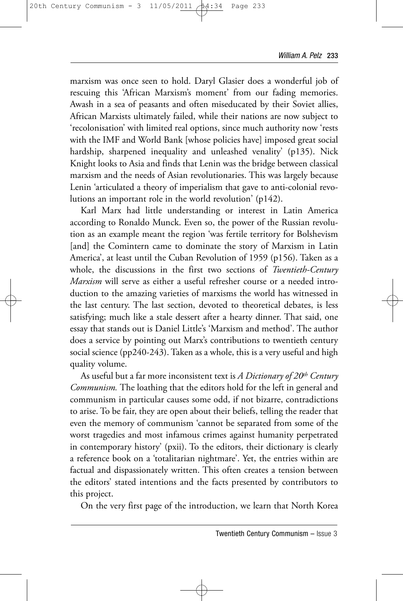marxism was once seen to hold. Daryl Glasier does a wonderful job of rescuing this 'African Marxism's moment' from our fading memories. Awash in a sea of peasants and often miseducated by their Soviet allies, African Marxists ultimately failed, while their nations are now subject to 'recolonisation' with limited real options, since much authority now 'rests with the IMF and World Bank [whose policies have] imposed great social hardship, sharpened inequality and unleashed venality' (p135). Nick Knight looks to Asia and finds that Lenin was the bridge between classical marxism and the needs of Asian revolutionaries. This was largely because Lenin 'articulated a theory of imperialism that gave to anti-colonial revolutions an important role in the world revolution' (p142).

Karl Marx had little understanding or interest in Latin America according to Ronaldo Munck. Even so, the power of the Russian revolution as an example meant the region 'was fertile territory for Bolshevism [and] the Comintern came to dominate the story of Marxism in Latin America', at least until the Cuban Revolution of 1959 (p156). Taken as a whole, the discussions in the first two sections of *Twentieth-Century Marxism* will serve as either a useful refresher course or a needed introduction to the amazing varieties of marxisms the world has witnessed in the last century. The last section, devoted to theoretical debates, is less satisfying; much like a stale dessert after a hearty dinner. That said, one essay that stands out is Daniel Little's 'Marxism and method'. The author does a service by pointing out Marx's contributions to twentieth century social science (pp240-243). Taken as a whole, this is a very useful and high quality volume.

As useful but a far more inconsistent text is *A Dictionary of 20th Century Communism.* The loathing that the editors hold for the left in general and communism in particular causes some odd, if not bizarre, contradictions to arise. To be fair, they are open about their beliefs, telling the reader that even the memory of communism 'cannot be separated from some of the worst tragedies and most infamous crimes against humanity perpetrated in contemporary history' (pxii). To the editors, their dictionary is clearly a reference book on a 'totalitarian nightmare'. Yet, the entries within are factual and dispassionately written. This often creates a tension between the editors' stated intentions and the facts presented by contributors to this project.

On the very first page of the introduction, we learn that North Korea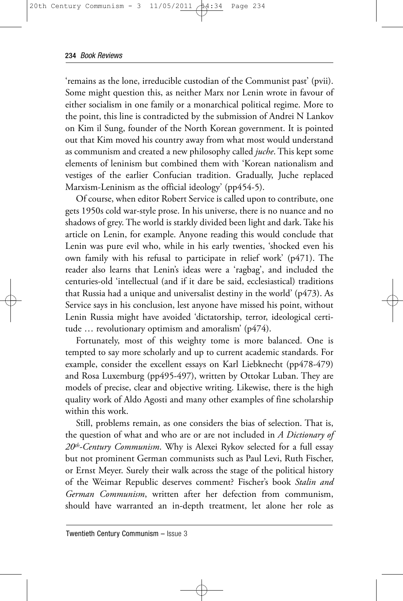'remains as the lone, irreducible custodian of the Communist past' (pvii). Some might question this, as neither Marx nor Lenin wrote in favour of either socialism in one family or a monarchical political regime. More to the point, this line is contradicted by the submission of Andrei N Lankov on Kim il Sung, founder of the North Korean government. It is pointed out that Kim moved his country away from what most would understand as communism and created a new philosophy called *juche*. This kept some elements of leninism but combined them with 'Korean nationalism and vestiges of the earlier Confucian tradition. Gradually, Juche replaced Marxism-Leninism as the official ideology' (pp454-5).

Of course, when editor Robert Service is called upon to contribute, one gets 1950s cold war-style prose. In his universe, there is no nuance and no shadows of grey. The world is starkly divided been light and dark. Take his article on Lenin, for example. Anyone reading this would conclude that Lenin was pure evil who, while in his early twenties, 'shocked even his own family with his refusal to participate in relief work' (p471). The reader also learns that Lenin's ideas were a 'ragbag', and included the centuries-old 'intellectual (and if it dare be said, ecclesiastical) traditions that Russia had a unique and universalist destiny in the world' (p473). As Service says in his conclusion, lest anyone have missed his point, without Lenin Russia might have avoided 'dictatorship, terror, ideological certitude … revolutionary optimism and amoralism' (p474).

Fortunately, most of this weighty tome is more balanced. One is tempted to say more scholarly and up to current academic standards. For example, consider the excellent essays on Karl Liebknecht (pp478-479) and Rosa Luxemburg (pp495-497), written by Ottokar Luban. They are models of precise, clear and objective writing. Likewise, there is the high quality work of Aldo Agosti and many other examples of fine scholarship within this work.

Still, problems remain, as one considers the bias of selection. That is, the question of what and who are or are not included in *A Dictionary of 20th-Century Communism*. Why is Alexei Rykov selected for a full essay but not prominent German communists such as Paul Levi, Ruth Fischer, or Ernst Meyer. Surely their walk across the stage of the political history of the Weimar Republic deserves comment? Fischer's book *Stalin and German Communism*, written after her defection from communism, should have warranted an in-depth treatment, let alone her role as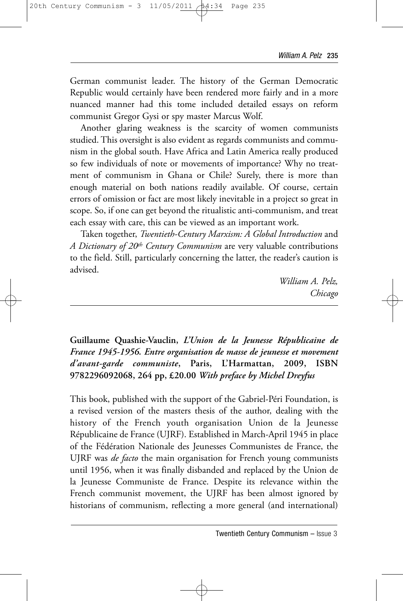German communist leader. The history of the German Democratic Republic would certainly have been rendered more fairly and in a more nuanced manner had this tome included detailed essays on reform communist Gregor Gysi or spy master Marcus Wolf.

Another glaring weakness is the scarcity of women communists studied. This oversight is also evident as regards communists and communism in the global south. Have Africa and Latin America really produced so few individuals of note or movements of importance? Why no treatment of communism in Ghana or Chile? Surely, there is more than enough material on both nations readily available. Of course, certain errors of omission or fact are most likely inevitable in a project so great in scope. So, if one can get beyond the ritualistic anti-communism, and treat each essay with care, this can be viewed as an important work.

Taken together, *Twentieth-Century Marxism: A Global Introduction* and *A Dictionary of 20th Century Communism* are very valuable contributions to the field. Still, particularly concerning the latter, the reader's caution is advised.

> *William A. Pelz, Chicago*

**Guillaume Quashie-Vauclin,** *L'Union de la Jeunesse Républicaine de France 1945-1956. Entre organisation de masse de jeunesse et movement d'avant-garde communiste***, Paris, L'Harmattan, 2009, ISBN 9782296092068, 264 pp, £20.00** *With preface by Michel Dreyfus*

This book, published with the support of the Gabriel-Péri Foundation, is a revised version of the masters thesis of the author, dealing with the history of the French youth organisation Union de la Jeunesse Républicaine de France (UJRF). Established in March-April 1945 in place of the Fédération Nationale des Jeunesses Communistes de France, the UJRF was *de facto* the main organisation for French young communists until 1956, when it was finally disbanded and replaced by the Union de la Jeunesse Communiste de France. Despite its relevance within the French communist movement, the UJRF has been almost ignored by historians of communism, reflecting a more general (and international)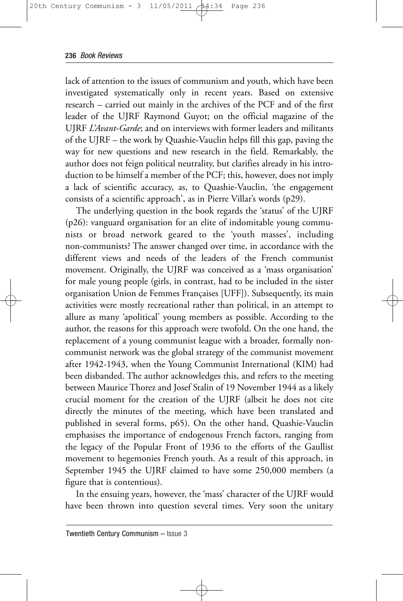lack of attention to the issues of communism and youth, which have been investigated systematically only in recent years. Based on extensive research – carried out mainly in the archives of the PCF and of the first leader of the UJRF Raymond Guyot; on the official magazine of the UJRF *L'Avant-Garde*; and on interviews with former leaders and militants of the UJRF – the work by Quashie-Vauclin helps fill this gap, paving the way for new questions and new research in the field. Remarkably, the author does not feign political neutrality, but clarifies already in his introduction to be himself a member of the PCF; this, however, does not imply a lack of scientific accuracy, as, to Quashie-Vauclin, 'the engagement consists of a scientific approach', as in Pierre Villar's words (p29).

The underlying question in the book regards the 'status' of the UJRF (p26): vanguard organisation for an elite of indomitable young communists or broad network geared to the 'youth masses', including non-communists? The answer changed over time, in accordance with the different views and needs of the leaders of the French communist movement. Originally, the UJRF was conceived as a 'mass organisation' for male young people (girls, in contrast, had to be included in the sister organisation Union de Femmes Françaises [UFF]). Subsequently, its main activities were mostly recreational rather than political, in an attempt to allure as many 'apolitical' young members as possible. According to the author, the reasons for this approach were twofold. On the one hand, the replacement of a young communist league with a broader, formally noncommunist network was the global strategy of the communist movement after 1942-1943, when the Young Communist International (KIM) had been disbanded. The author acknowledges this, and refers to the meeting between Maurice Thorez and Josef Stalin of 19 November 1944 as a likely crucial moment for the creation of the UJRF (albeit he does not cite directly the minutes of the meeting, which have been translated and published in several forms, p65). On the other hand, Quashie-Vauclin emphasises the importance of endogenous French factors, ranging from the legacy of the Popular Front of 1936 to the efforts of the Gaullist movement to hegemonies French youth. As a result of this approach, in September 1945 the UJRF claimed to have some 250,000 members (a figure that is contentious).

In the ensuing years, however, the 'mass' character of the UJRF would have been thrown into question several times. Very soon the unitary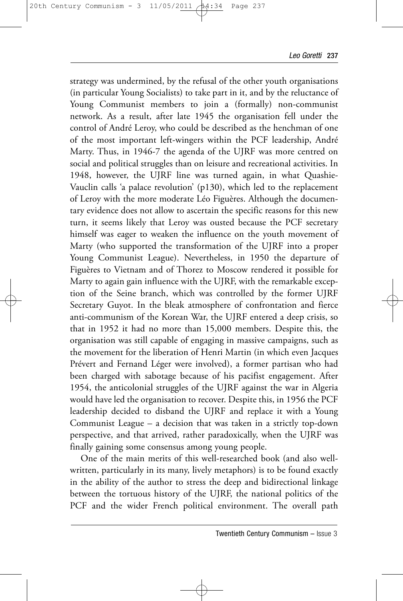strategy was undermined, by the refusal of the other youth organisations (in particular Young Socialists) to take part in it, and by the reluctance of Young Communist members to join a (formally) non-communist network. As a result, after late 1945 the organisation fell under the control of André Leroy, who could be described as the henchman of one of the most important left-wingers within the PCF leadership, André Marty. Thus, in 1946-7 the agenda of the UJRF was more centred on social and political struggles than on leisure and recreational activities. In 1948, however, the UJRF line was turned again, in what Quashie-Vauclin calls 'a palace revolution' (p130), which led to the replacement of Leroy with the more moderate Léo Figuères. Although the documentary evidence does not allow to ascertain the specific reasons for this new turn, it seems likely that Leroy was ousted because the PCF secretary himself was eager to weaken the influence on the youth movement of Marty (who supported the transformation of the UJRF into a proper Young Communist League). Nevertheless, in 1950 the departure of Figuères to Vietnam and of Thorez to Moscow rendered it possible for Marty to again gain influence with the UJRF, with the remarkable exception of the Seine branch, which was controlled by the former UJRF Secretary Guyot. In the bleak atmosphere of confrontation and fierce anti-communism of the Korean War, the UJRF entered a deep crisis, so that in 1952 it had no more than 15,000 members. Despite this, the organisation was still capable of engaging in massive campaigns, such as the movement for the liberation of Henri Martin (in which even Jacques Prévert and Fernand Léger were involved), a former partisan who had been charged with sabotage because of his pacifist engagement. After 1954, the anticolonial struggles of the UJRF against the war in Algeria would have led the organisation to recover. Despite this, in 1956 the PCF leadership decided to disband the UJRF and replace it with a Young Communist League – a decision that was taken in a strictly top-down perspective, and that arrived, rather paradoxically, when the UJRF was finally gaining some consensus among young people.

One of the main merits of this well-researched book (and also wellwritten, particularly in its many, lively metaphors) is to be found exactly in the ability of the author to stress the deep and bidirectional linkage between the tortuous history of the UJRF, the national politics of the PCF and the wider French political environment. The overall path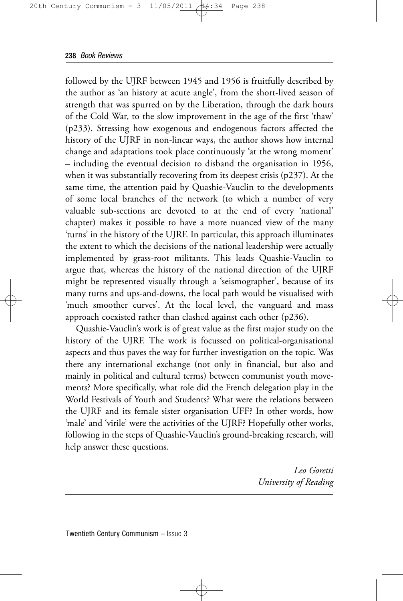followed by the UJRF between 1945 and 1956 is fruitfully described by the author as 'an history at acute angle', from the short-lived season of strength that was spurred on by the Liberation, through the dark hours of the Cold War, to the slow improvement in the age of the first 'thaw' (p233). Stressing how exogenous and endogenous factors affected the history of the UJRF in non-linear ways, the author shows how internal change and adaptations took place continuously 'at the wrong moment' – including the eventual decision to disband the organisation in 1956, when it was substantially recovering from its deepest crisis (p237). At the same time, the attention paid by Quashie-Vauclin to the developments of some local branches of the network (to which a number of very valuable sub-sections are devoted to at the end of every 'national' chapter) makes it possible to have a more nuanced view of the many 'turns' in the history of the UJRF. In particular, this approach illuminates the extent to which the decisions of the national leadership were actually implemented by grass-root militants. This leads Quashie-Vauclin to argue that, whereas the history of the national direction of the UJRF might be represented visually through a 'seismographer', because of its many turns and ups-and-downs, the local path would be visualised with 'much smoother curves'. At the local level, the vanguard and mass approach coexisted rather than clashed against each other (p236).

Quashie-Vauclin's work is of great value as the first major study on the history of the UJRF. The work is focussed on political-organisational aspects and thus paves the way for further investigation on the topic. Was there any international exchange (not only in financial, but also and mainly in political and cultural terms) between communist youth movements? More specifically, what role did the French delegation play in the World Festivals of Youth and Students? What were the relations between the UJRF and its female sister organisation UFF? In other words, how 'male' and 'virile' were the activities of the UJRF? Hopefully other works, following in the steps of Quashie-Vauclin's ground-breaking research, will help answer these questions.

> *Leo Goretti University of Reading*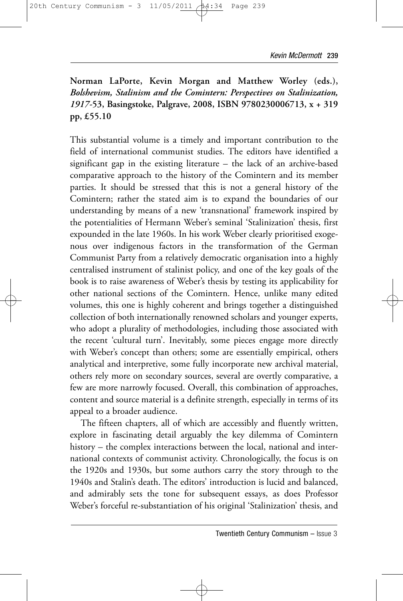**Norman LaPorte, Kevin Morgan and Matthew Worley (eds.),** *Bolshevism, Stalinism and the Comintern: Perspectives on Stalinization, 1917-***53, Basingstoke, Palgrave, 2008, ISBN 9780230006713, x + 319 pp, £55.10**

This substantial volume is a timely and important contribution to the field of international communist studies. The editors have identified a significant gap in the existing literature – the lack of an archive-based comparative approach to the history of the Comintern and its member parties. It should be stressed that this is not a general history of the Comintern; rather the stated aim is to expand the boundaries of our understanding by means of a new 'transnational' framework inspired by the potentialities of Hermann Weber's seminal 'Stalinization' thesis, first expounded in the late 1960s. In his work Weber clearly prioritised exogenous over indigenous factors in the transformation of the German Communist Party from a relatively democratic organisation into a highly centralised instrument of stalinist policy, and one of the key goals of the book is to raise awareness of Weber's thesis by testing its applicability for other national sections of the Comintern. Hence, unlike many edited volumes, this one is highly coherent and brings together a distinguished collection of both internationally renowned scholars and younger experts, who adopt a plurality of methodologies, including those associated with the recent 'cultural turn'. Inevitably, some pieces engage more directly with Weber's concept than others; some are essentially empirical, others analytical and interpretive, some fully incorporate new archival material, others rely more on secondary sources, several are overtly comparative, a few are more narrowly focused. Overall, this combination of approaches, content and source material is a definite strength, especially in terms of its appeal to a broader audience.

The fifteen chapters, all of which are accessibly and fluently written, explore in fascinating detail arguably the key dilemma of Comintern history – the complex interactions between the local, national and international contexts of communist activity. Chronologically, the focus is on the 1920s and 1930s, but some authors carry the story through to the 1940s and Stalin's death. The editors' introduction is lucid and balanced, and admirably sets the tone for subsequent essays, as does Professor Weber's forceful re-substantiation of his original 'Stalinization' thesis, and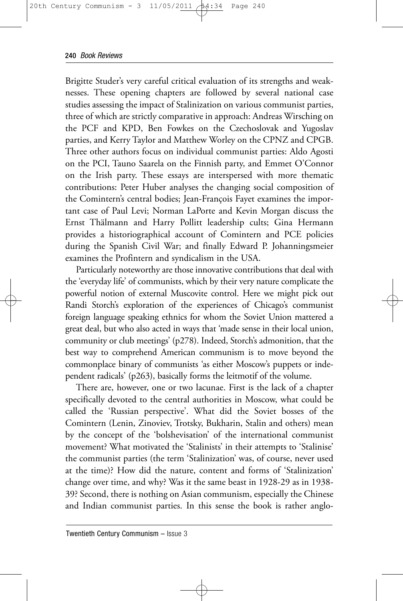Brigitte Studer's very careful critical evaluation of its strengths and weaknesses. These opening chapters are followed by several national case studies assessing the impact of Stalinization on various communist parties, three of which are strictly comparative in approach: Andreas Wirsching on the PCF and KPD, Ben Fowkes on the Czechoslovak and Yugoslav parties, and Kerry Taylor and Matthew Worley on the CPNZ and CPGB. Three other authors focus on individual communist parties: Aldo Agosti on the PCI, Tauno Saarela on the Finnish party, and Emmet O'Connor on the Irish party. These essays are interspersed with more thematic contributions: Peter Huber analyses the changing social composition of the Comintern's central bodies; Jean-François Fayet examines the important case of Paul Levi; Norman LaPorte and Kevin Morgan discuss the Ernst Thälmann and Harry Pollitt leadership cults; Gina Hermann provides a historiographical account of Comintern and PCE policies during the Spanish Civil War; and finally Edward P. Johanningsmeier examines the Profintern and syndicalism in the USA.

Particularly noteworthy are those innovative contributions that deal with the 'everyday life' of communists, which by their very nature complicate the powerful notion of external Muscovite control. Here we might pick out Randi Storch's exploration of the experiences of Chicago's communist foreign language speaking ethnics for whom the Soviet Union mattered a great deal, but who also acted in ways that 'made sense in their local union, community or club meetings' (p278). Indeed, Storch's admonition, that the best way to comprehend American communism is to move beyond the commonplace binary of communists 'as either Moscow's puppets or independent radicals' (p263), basically forms the leitmotif of the volume.

There are, however, one or two lacunae. First is the lack of a chapter specifically devoted to the central authorities in Moscow, what could be called the 'Russian perspective'. What did the Soviet bosses of the Comintern (Lenin, Zinoviev, Trotsky, Bukharin, Stalin and others) mean by the concept of the 'bolshevisation' of the international communist movement? What motivated the 'Stalinists' in their attempts to 'Stalinise' the communist parties (the term 'Stalinization' was, of course, never used at the time)? How did the nature, content and forms of 'Stalinization' change over time, and why? Was it the same beast in 1928-29 as in 1938- 39? Second, there is nothing on Asian communism, especially the Chinese and Indian communist parties. In this sense the book is rather anglo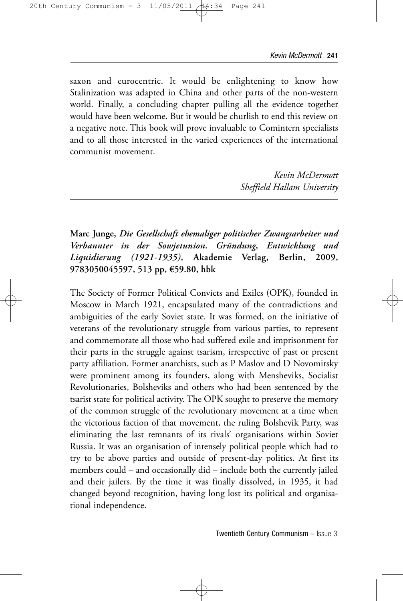saxon and eurocentric. It would be enlightening to know how Stalinization was adapted in China and other parts of the non-western world. Finally, a concluding chapter pulling all the evidence together would have been welcome. But it would be churlish to end this review on a negative note. This book will prove invaluable to Comintern specialists and to all those interested in the varied experiences of the international communist movement.

> *Kevin McDermott Sheffield Hallam University*

**Marc Junge,** *Die Gesellschaft ehemaliger politischer Zwangsarbeiter und Verbannter in der Sowjetunion. Gründung, Entwicklung und Liquidierung (1921-1935)***, Akademie Verlag, Berlin, 2009, 9783050045597, 513 pp, €59.80, hbk**

The Society of Former Political Convicts and Exiles (OPK), founded in Moscow in March 1921, encapsulated many of the contradictions and ambiguities of the early Soviet state. It was formed, on the initiative of veterans of the revolutionary struggle from various parties, to represent and commemorate all those who had suffered exile and imprisonment for their parts in the struggle against tsarism, irrespective of past or present party affiliation. Former anarchists, such as P Maslov and D Novomirsky were prominent among its founders, along with Mensheviks, Socialist Revolutionaries, Bolsheviks and others who had been sentenced by the tsarist state for political activity. The OPK sought to preserve the memory of the common struggle of the revolutionary movement at a time when the victorious faction of that movement, the ruling Bolshevik Party, was eliminating the last remnants of its rivals' organisations within Soviet Russia. It was an organisation of intensely political people which had to try to be above parties and outside of present-day politics. At first its members could – and occasionally did – include both the currently jailed and their jailers. By the time it was finally dissolved, in 1935, it had changed beyond recognition, having long lost its political and organisational independence.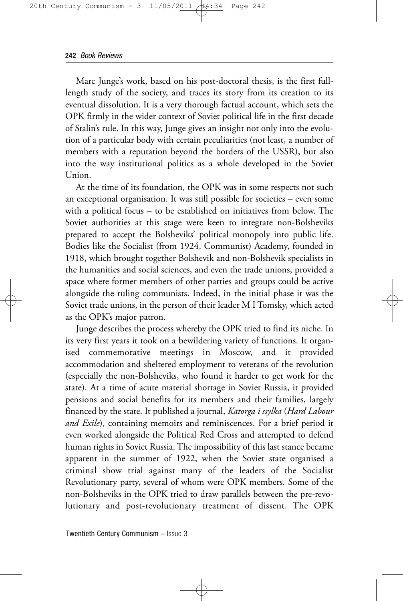Marc Junge's work, based on his post-doctoral thesis, is the first fulllength study of the society, and traces its story from its creation to its eventual dissolution. It is a very thorough factual account, which sets the OPK firmly in the wider context of Soviet political life in the first decade of Stalin's rule. In this way, Junge gives an insight not only into the evolution of a particular body with certain peculiarities (not least, a number of members with a reputation beyond the borders of the USSR), but also into the way institutional politics as a whole developed in the Soviet Union.

At the time of its foundation, the OPK was in some respects not such an exceptional organisation. It was still possible for societies – even some with a political focus – to be established on initiatives from below. The Soviet authorities at this stage were keen to integrate non-Bolsheviks prepared to accept the Bolsheviks' political monopoly into public life. Bodies like the Socialist (from 1924, Communist) Academy, founded in 1918, which brought together Bolshevik and non-Bolshevik specialists in the humanities and social sciences, and even the trade unions, provided a space where former members of other parties and groups could be active alongside the ruling communists. Indeed, in the initial phase it was the Soviet trade unions, in the person of their leader M I Tomsky, which acted as the OPK's major patron.

Junge describes the process whereby the OPK tried to find its niche. In its very first years it took on a bewildering variety of functions. It organised commemorative meetings in Moscow, and it provided accommodation and sheltered employment to veterans of the revolution (especially the non-Bolsheviks, who found it harder to get work for the state). At a time of acute material shortage in Soviet Russia, it provided pensions and social benefits for its members and their families, largely financed by the state. It published a journal, *Katorga i ssylka* (*Hard Labour and Exile*), containing memoirs and reminiscences. For a brief period it even worked alongside the Political Red Cross and attempted to defend human rights in Soviet Russia. The impossibility of this last stance became apparent in the summer of 1922, when the Soviet state organised a criminal show trial against many of the leaders of the Socialist Revolutionary party, several of whom were OPK members. Some of the non-Bolsheviks in the OPK tried to draw parallels between the pre-revolutionary and post-revolutionary treatment of dissent. The OPK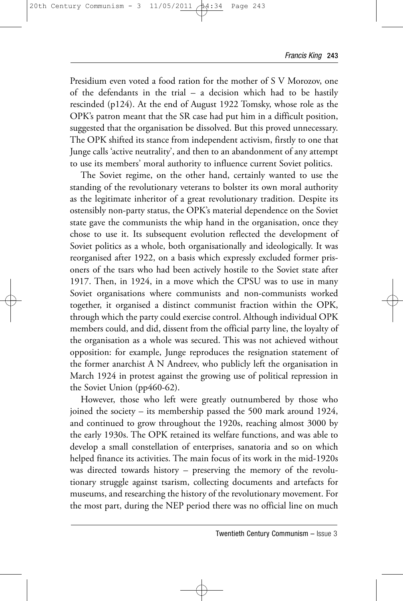Presidium even voted a food ration for the mother of S V Morozov, one of the defendants in the trial – a decision which had to be hastily rescinded (p124). At the end of August 1922 Tomsky, whose role as the OPK's patron meant that the SR case had put him in a difficult position, suggested that the organisation be dissolved. But this proved unnecessary. The OPK shifted its stance from independent activism, firstly to one that Junge calls 'active neutrality', and then to an abandonment of any attempt to use its members' moral authority to influence current Soviet politics.

The Soviet regime, on the other hand, certainly wanted to use the standing of the revolutionary veterans to bolster its own moral authority as the legitimate inheritor of a great revolutionary tradition. Despite its ostensibly non-party status, the OPK's material dependence on the Soviet state gave the communists the whip hand in the organisation, once they chose to use it. Its subsequent evolution reflected the development of Soviet politics as a whole, both organisationally and ideologically. It was reorganised after 1922, on a basis which expressly excluded former prisoners of the tsars who had been actively hostile to the Soviet state after 1917. Then, in 1924, in a move which the CPSU was to use in many Soviet organisations where communists and non-communists worked together, it organised a distinct communist fraction within the OPK, through which the party could exercise control. Although individual OPK members could, and did, dissent from the official party line, the loyalty of the organisation as a whole was secured. This was not achieved without opposition: for example, Junge reproduces the resignation statement of the former anarchist A N Andreev, who publicly left the organisation in March 1924 in protest against the growing use of political repression in the Soviet Union (pp460-62).

However, those who left were greatly outnumbered by those who joined the society – its membership passed the 500 mark around 1924, and continued to grow throughout the 1920s, reaching almost 3000 by the early 1930s. The OPK retained its welfare functions, and was able to develop a small constellation of enterprises, sanatoria and so on which helped finance its activities. The main focus of its work in the mid-1920s was directed towards history – preserving the memory of the revolutionary struggle against tsarism, collecting documents and artefacts for museums, and researching the history of the revolutionary movement. For the most part, during the NEP period there was no official line on much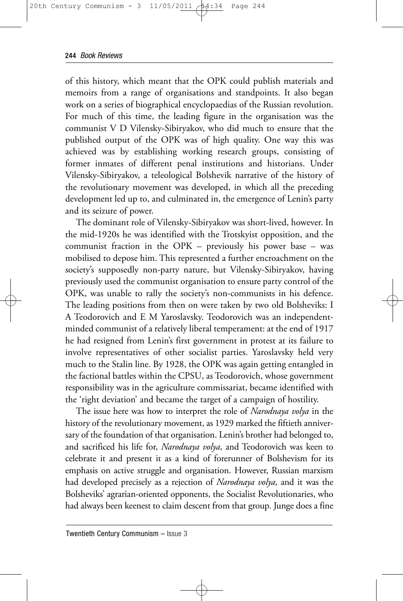of this history, which meant that the OPK could publish materials and memoirs from a range of organisations and standpoints. It also began work on a series of biographical encyclopaedias of the Russian revolution. For much of this time, the leading figure in the organisation was the communist V D Vilensky-Sibiryakov, who did much to ensure that the published output of the OPK was of high quality. One way this was achieved was by establishing working research groups, consisting of former inmates of different penal institutions and historians. Under Vilensky-Sibiryakov, a teleological Bolshevik narrative of the history of the revolutionary movement was developed, in which all the preceding development led up to, and culminated in, the emergence of Lenin's party and its seizure of power.

The dominant role of Vilensky-Sibiryakov was short-lived, however. In the mid-1920s he was identified with the Trotskyist opposition, and the communist fraction in the OPK – previously his power base – was mobilised to depose him. This represented a further encroachment on the society's supposedly non-party nature, but Vilensky-Sibiryakov, having previously used the communist organisation to ensure party control of the OPK, was unable to rally the society's non-communists in his defence. The leading positions from then on were taken by two old Bolsheviks: I A Teodorovich and E M Yaroslavsky. Teodorovich was an independentminded communist of a relatively liberal temperament: at the end of 1917 he had resigned from Lenin's first government in protest at its failure to involve representatives of other socialist parties. Yaroslavsky held very much to the Stalin line. By 1928, the OPK was again getting entangled in the factional battles within the CPSU, as Teodorovich, whose government responsibility was in the agriculture commissariat, became identified with the 'right deviation' and became the target of a campaign of hostility.

The issue here was how to interpret the role of *Narodnaya volya* in the history of the revolutionary movement, as 1929 marked the fiftieth anniversary of the foundation of that organisation. Lenin's brother had belonged to, and sacrificed his life for, *Narodnaya volya*, and Teodorovich was keen to celebrate it and present it as a kind of forerunner of Bolshevism for its emphasis on active struggle and organisation. However, Russian marxism had developed precisely as a rejection of *Narodnaya volya*, and it was the Bolsheviks' agrarian-oriented opponents, the Socialist Revolutionaries, who had always been keenest to claim descent from that group. Junge does a fine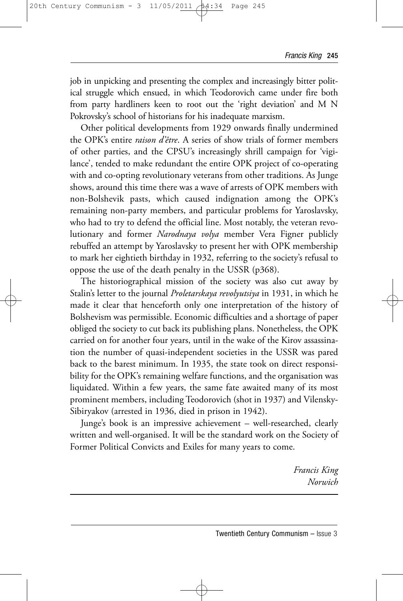job in unpicking and presenting the complex and increasingly bitter political struggle which ensued, in which Teodorovich came under fire both from party hardliners keen to root out the 'right deviation' and M N Pokrovsky's school of historians for his inadequate marxism.

Other political developments from 1929 onwards finally undermined the OPK's entire *raison d'être*. A series of show trials of former members of other parties, and the CPSU's increasingly shrill campaign for 'vigilance', tended to make redundant the entire OPK project of co-operating with and co-opting revolutionary veterans from other traditions. As Junge shows, around this time there was a wave of arrests of OPK members with non-Bolshevik pasts, which caused indignation among the OPK's remaining non-party members, and particular problems for Yaroslavsky, who had to try to defend the official line. Most notably, the veteran revolutionary and former *Narodnaya volya* member Vera Figner publicly rebuffed an attempt by Yaroslavsky to present her with OPK membership to mark her eightieth birthday in 1932, referring to the society's refusal to oppose the use of the death penalty in the USSR (p368).

The historiographical mission of the society was also cut away by Stalin's letter to the journal *Proletarskaya revolyutsiya* in 1931, in which he made it clear that henceforth only one interpretation of the history of Bolshevism was permissible. Economic difficulties and a shortage of paper obliged the society to cut back its publishing plans. Nonetheless, the OPK carried on for another four years, until in the wake of the Kirov assassination the number of quasi-independent societies in the USSR was pared back to the barest minimum. In 1935, the state took on direct responsibility for the OPK's remaining welfare functions, and the organisation was liquidated. Within a few years, the same fate awaited many of its most prominent members, including Teodorovich (shot in 1937) and Vilensky-Sibiryakov (arrested in 1936, died in prison in 1942).

Junge's book is an impressive achievement – well-researched, clearly written and well-organised. It will be the standard work on the Society of Former Political Convicts and Exiles for many years to come.

> *Francis King Norwich*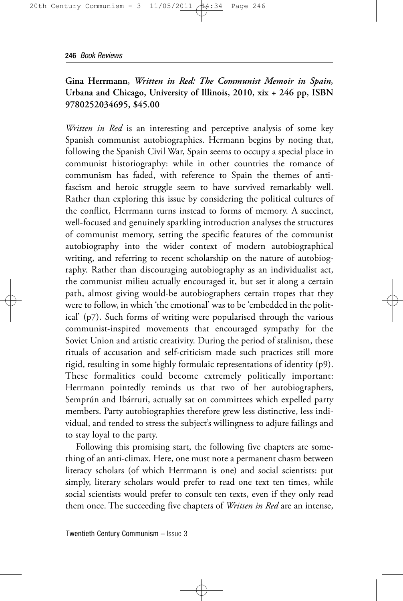## **Gina Herrmann,** *Written in Red: The Communist Memoir in Spain,* **Urbana and Chicago, University of Illinois, 2010, xix + 246 pp, ISBN 9780252034695, \$45.00**

*Written in Red* is an interesting and perceptive analysis of some key Spanish communist autobiographies. Hermann begins by noting that, following the Spanish Civil War, Spain seems to occupy a special place in communist historiography: while in other countries the romance of communism has faded, with reference to Spain the themes of antifascism and heroic struggle seem to have survived remarkably well. Rather than exploring this issue by considering the political cultures of the conflict, Herrmann turns instead to forms of memory. A succinct, well-focused and genuinely sparkling introduction analyses the structures of communist memory, setting the specific features of the communist autobiography into the wider context of modern autobiographical writing, and referring to recent scholarship on the nature of autobiography. Rather than discouraging autobiography as an individualist act, the communist milieu actually encouraged it, but set it along a certain path, almost giving would-be autobiographers certain tropes that they were to follow, in which 'the emotional' was to be 'embedded in the political' (p7). Such forms of writing were popularised through the various communist-inspired movements that encouraged sympathy for the Soviet Union and artistic creativity. During the period of stalinism, these rituals of accusation and self-criticism made such practices still more rigid, resulting in some highly formulaic representations of identity (p9). These formalities could become extremely politically important: Herrmann pointedly reminds us that two of her autobiographers, Semprún and Ibárruri, actually sat on committees which expelled party members. Party autobiographies therefore grew less distinctive, less individual, and tended to stress the subject's willingness to adjure failings and to stay loyal to the party.

Following this promising start, the following five chapters are something of an anti-climax. Here, one must note a permanent chasm between literacy scholars (of which Herrmann is one) and social scientists: put simply, literary scholars would prefer to read one text ten times, while social scientists would prefer to consult ten texts, even if they only read them once. The succeeding five chapters of *Written in Red* are an intense,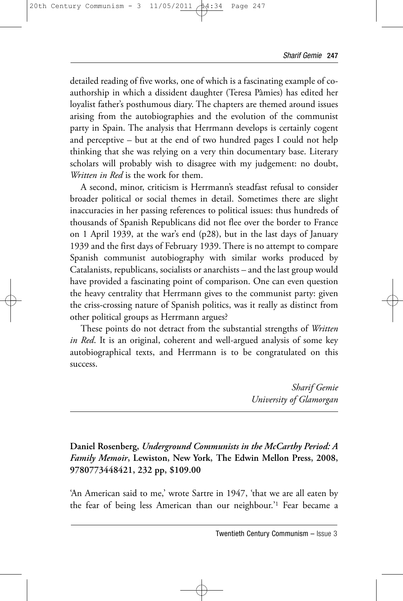detailed reading of five works, one of which is a fascinating example of coauthorship in which a dissident daughter (Teresa Pàmies) has edited her loyalist father's posthumous diary. The chapters are themed around issues arising from the autobiographies and the evolution of the communist party in Spain. The analysis that Herrmann develops is certainly cogent and perceptive – but at the end of two hundred pages I could not help thinking that she was relying on a very thin documentary base. Literary scholars will probably wish to disagree with my judgement: no doubt, *Written in Red* is the work for them.

A second, minor, criticism is Herrmann's steadfast refusal to consider broader political or social themes in detail. Sometimes there are slight inaccuracies in her passing references to political issues: thus hundreds of thousands of Spanish Republicans did not flee over the border to France on 1 April 1939, at the war's end (p28), but in the last days of January 1939 and the first days of February 1939. There is no attempt to compare Spanish communist autobiography with similar works produced by Catalanists, republicans, socialists or anarchists – and the last group would have provided a fascinating point of comparison. One can even question the heavy centrality that Herrmann gives to the communist party: given the criss-crossing nature of Spanish politics, was it really as distinct from other political groups as Herrmann argues?

These points do not detract from the substantial strengths of *Written in Red*. It is an original, coherent and well-argued analysis of some key autobiographical texts, and Herrmann is to be congratulated on this success.

> *Sharif Gemie University of Glamorgan*

## **Daniel Rosenberg,** *Underground Communists in the McCarthy Period: A Family Memoir***, Lewiston, New York, The Edwin Mellon Press, 2008, 9780773448421, 232 pp, \$109.00**

'An American said to me,' wrote Sartre in 1947, 'that we are all eaten by the fear of being less American than our neighbour.'1 Fear became a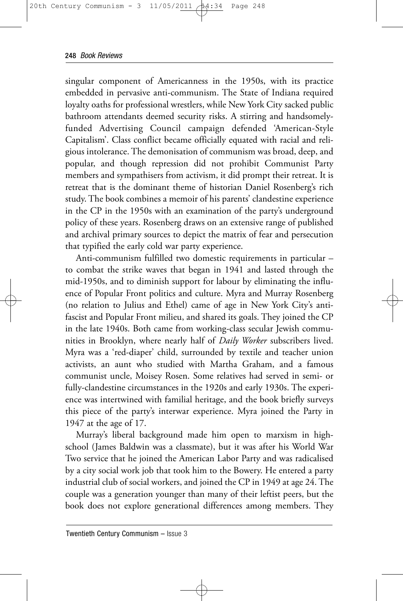singular component of Americanness in the 1950s, with its practice embedded in pervasive anti-communism. The State of Indiana required loyalty oaths for professional wrestlers, while New York City sacked public bathroom attendants deemed security risks. A stirring and handsomelyfunded Advertising Council campaign defended 'American-Style Capitalism'. Class conflict became officially equated with racial and religious intolerance. The demonisation of communism was broad, deep, and popular, and though repression did not prohibit Communist Party members and sympathisers from activism, it did prompt their retreat. It is retreat that is the dominant theme of historian Daniel Rosenberg's rich study. The book combines a memoir of his parents' clandestine experience in the CP in the 1950s with an examination of the party's underground policy of these years. Rosenberg draws on an extensive range of published and archival primary sources to depict the matrix of fear and persecution that typified the early cold war party experience.

Anti-communism fulfilled two domestic requirements in particular – to combat the strike waves that began in 1941 and lasted through the mid-1950s, and to diminish support for labour by eliminating the influence of Popular Front politics and culture. Myra and Murray Rosenberg (no relation to Julius and Ethel) came of age in New York City's antifascist and Popular Front milieu, and shared its goals. They joined the CP in the late 1940s. Both came from working-class secular Jewish communities in Brooklyn, where nearly half of *Daily Worker* subscribers lived. Myra was a 'red-diaper' child, surrounded by textile and teacher union activists, an aunt who studied with Martha Graham, and a famous communist uncle, Moisey Rosen. Some relatives had served in semi- or fully-clandestine circumstances in the 1920s and early 1930s. The experience was intertwined with familial heritage, and the book briefly surveys this piece of the party's interwar experience. Myra joined the Party in 1947 at the age of 17.

Murray's liberal background made him open to marxism in highschool (James Baldwin was a classmate), but it was after his World War Two service that he joined the American Labor Party and was radicalised by a city social work job that took him to the Bowery. He entered a party industrial club of social workers, and joined the CP in 1949 at age 24. The couple was a generation younger than many of their leftist peers, but the book does not explore generational differences among members. They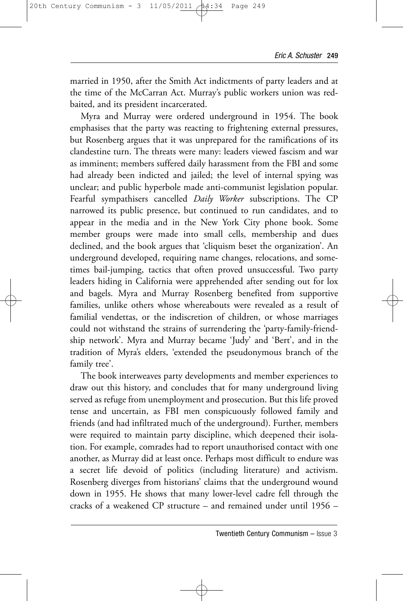married in 1950, after the Smith Act indictments of party leaders and at the time of the McCarran Act. Murray's public workers union was redbaited, and its president incarcerated.

Myra and Murray were ordered underground in 1954. The book emphasises that the party was reacting to frightening external pressures, but Rosenberg argues that it was unprepared for the ramifications of its clandestine turn. The threats were many: leaders viewed fascism and war as imminent; members suffered daily harassment from the FBI and some had already been indicted and jailed; the level of internal spying was unclear; and public hyperbole made anti-communist legislation popular. Fearful sympathisers cancelled *Daily Worker* subscriptions. The CP narrowed its public presence, but continued to run candidates, and to appear in the media and in the New York City phone book. Some member groups were made into small cells, membership and dues declined, and the book argues that 'cliquism beset the organization'. An underground developed, requiring name changes, relocations, and sometimes bail-jumping, tactics that often proved unsuccessful. Two party leaders hiding in California were apprehended after sending out for lox and bagels. Myra and Murray Rosenberg benefited from supportive families, unlike others whose whereabouts were revealed as a result of familial vendettas, or the indiscretion of children, or whose marriages could not withstand the strains of surrendering the 'party-family-friendship network'. Myra and Murray became 'Judy' and 'Bert', and in the tradition of Myra's elders, 'extended the pseudonymous branch of the family tree'.

The book interweaves party developments and member experiences to draw out this history, and concludes that for many underground living served as refuge from unemployment and prosecution. But this life proved tense and uncertain, as FBI men conspicuously followed family and friends (and had infiltrated much of the underground). Further, members were required to maintain party discipline, which deepened their isolation. For example, comrades had to report unauthorised contact with one another, as Murray did at least once. Perhaps most difficult to endure was a secret life devoid of politics (including literature) and activism. Rosenberg diverges from historians' claims that the underground wound down in 1955. He shows that many lower-level cadre fell through the cracks of a weakened CP structure – and remained under until 1956 –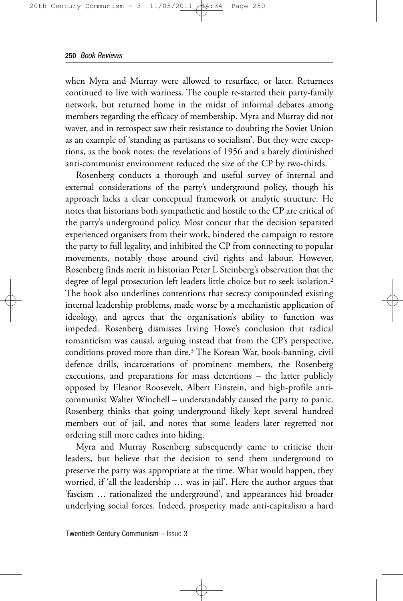when Myra and Murray were allowed to resurface, or later. Returnees continued to live with wariness. The couple re-started their party-family network, but returned home in the midst of informal debates among members regarding the efficacy of membership. Myra and Murray did not waver, and in retrospect saw their resistance to doubting the Soviet Union as an example of 'standing as partisans to socialism'. But they were exceptions, as the book notes; the revelations of 1956 and a barely diminished anti-communist environment reduced the size of the CP by two-thirds.

Rosenberg conducts a thorough and useful survey of internal and external considerations of the party's underground policy, though his approach lacks a clear conceptual framework or analytic structure. He notes that historians both sympathetic and hostile to the CP are critical of the party's underground policy. Most concur that the decision separated experienced organisers from their work, hindered the campaign to restore the party to full legality, and inhibited the CP from connecting to popular movements, notably those around civil rights and labour. However, Rosenberg finds merit in historian Peter L Steinberg's observation that the degree of legal prosecution left leaders little choice but to seek isolation.2 The book also underlines contentions that secrecy compounded existing internal leadership problems, made worse by a mechanistic application of ideology, and agrees that the organisation's ability to function was impeded. Rosenberg dismisses Irving Howe's conclusion that radical romanticism was causal, arguing instead that from the CP's perspective, conditions proved more than dire.3 The Korean War, book-banning, civil defence drills, incarcerations of prominent members, the Rosenberg executions, and preparations for mass detentions – the latter publicly opposed by Eleanor Roosevelt, Albert Einstein, and high-profile anticommunist Walter Winchell – understandably caused the party to panic. Rosenberg thinks that going underground likely kept several hundred members out of jail, and notes that some leaders later regretted not ordering still more cadres into hiding.

Myra and Murray Rosenberg subsequently came to criticise their leaders, but believe that the decision to send them underground to preserve the party was appropriate at the time. What would happen, they worried, if 'all the leadership … was in jail'. Here the author argues that 'fascism … rationalized the underground', and appearances hid broader underlying social forces. Indeed, prosperity made anti-capitalism a hard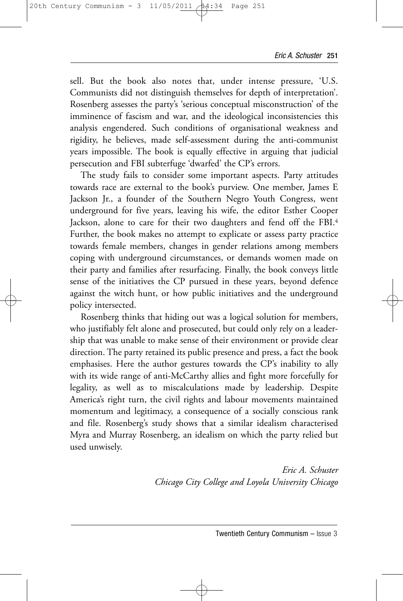sell. But the book also notes that, under intense pressure, 'U.S. Communists did not distinguish themselves for depth of interpretation'. Rosenberg assesses the party's 'serious conceptual misconstruction' of the imminence of fascism and war, and the ideological inconsistencies this analysis engendered. Such conditions of organisational weakness and rigidity, he believes, made self-assessment during the anti-communist years impossible. The book is equally effective in arguing that judicial persecution and FBI subterfuge 'dwarfed' the CP's errors.

The study fails to consider some important aspects. Party attitudes towards race are external to the book's purview. One member, James E Jackson Jr., a founder of the Southern Negro Youth Congress, went underground for five years, leaving his wife, the editor Esther Cooper Jackson, alone to care for their two daughters and fend off the FBI.4 Further, the book makes no attempt to explicate or assess party practice towards female members, changes in gender relations among members coping with underground circumstances, or demands women made on their party and families after resurfacing. Finally, the book conveys little sense of the initiatives the CP pursued in these years, beyond defence against the witch hunt, or how public initiatives and the underground policy intersected.

Rosenberg thinks that hiding out was a logical solution for members, who justifiably felt alone and prosecuted, but could only rely on a leadership that was unable to make sense of their environment or provide clear direction. The party retained its public presence and press, a fact the book emphasises. Here the author gestures towards the CP's inability to ally with its wide range of anti-McCarthy allies and fight more forcefully for legality, as well as to miscalculations made by leadership. Despite America's right turn, the civil rights and labour movements maintained momentum and legitimacy, a consequence of a socially conscious rank and file. Rosenberg's study shows that a similar idealism characterised Myra and Murray Rosenberg, an idealism on which the party relied but used unwisely.

> *Eric A. Schuster Chicago City College and Loyola University Chicago*